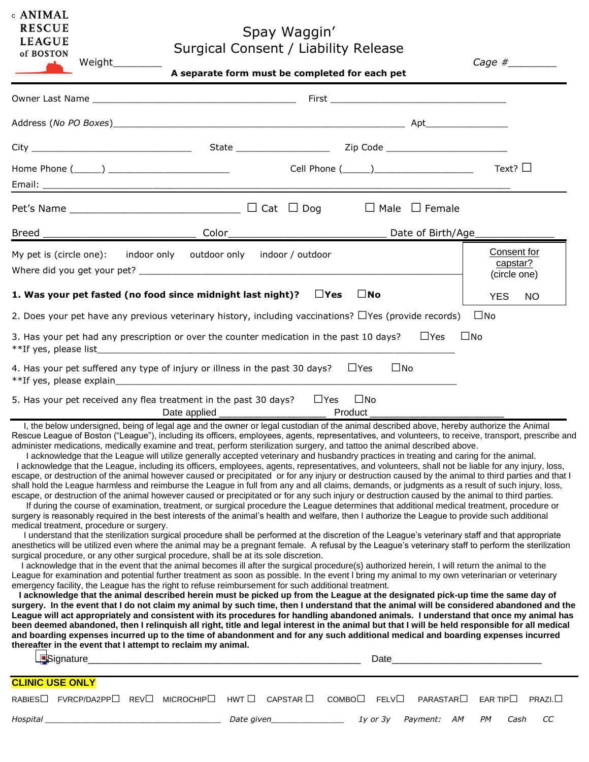| c ANIMAL      |  |
|---------------|--|
| <b>RESCUE</b> |  |
| <b>LEAGUE</b> |  |

## Spay Waggin' Surgical Consent / Liability Release Weight\_\_\_\_\_\_\_\_ *Cage #\_\_\_\_\_\_\_\_*

|                                                                                                                                                                                                                                                                                                                                                                                                                                                                                                                                                                                                                                                                                                                                                                                                                                                                                                                                                                                                                                                                                                                                                                                                                                                                                                                                                                                                                                                                                                                                                                                                                                                                                                                                                                                                                                                                                                                                                                                                                                                                                                         |                                                                                                                                                                                                                                                                                                                                                                                                                                                                                                                                                                                                                                                                                                                                                                                                                                                                                                                                                                                                                                      | A separate form must be completed for each pet |                          |                           |                           |                                         |        |
|---------------------------------------------------------------------------------------------------------------------------------------------------------------------------------------------------------------------------------------------------------------------------------------------------------------------------------------------------------------------------------------------------------------------------------------------------------------------------------------------------------------------------------------------------------------------------------------------------------------------------------------------------------------------------------------------------------------------------------------------------------------------------------------------------------------------------------------------------------------------------------------------------------------------------------------------------------------------------------------------------------------------------------------------------------------------------------------------------------------------------------------------------------------------------------------------------------------------------------------------------------------------------------------------------------------------------------------------------------------------------------------------------------------------------------------------------------------------------------------------------------------------------------------------------------------------------------------------------------------------------------------------------------------------------------------------------------------------------------------------------------------------------------------------------------------------------------------------------------------------------------------------------------------------------------------------------------------------------------------------------------------------------------------------------------------------------------------------------------|--------------------------------------------------------------------------------------------------------------------------------------------------------------------------------------------------------------------------------------------------------------------------------------------------------------------------------------------------------------------------------------------------------------------------------------------------------------------------------------------------------------------------------------------------------------------------------------------------------------------------------------------------------------------------------------------------------------------------------------------------------------------------------------------------------------------------------------------------------------------------------------------------------------------------------------------------------------------------------------------------------------------------------------|------------------------------------------------|--------------------------|---------------------------|---------------------------|-----------------------------------------|--------|
|                                                                                                                                                                                                                                                                                                                                                                                                                                                                                                                                                                                                                                                                                                                                                                                                                                                                                                                                                                                                                                                                                                                                                                                                                                                                                                                                                                                                                                                                                                                                                                                                                                                                                                                                                                                                                                                                                                                                                                                                                                                                                                         |                                                                                                                                                                                                                                                                                                                                                                                                                                                                                                                                                                                                                                                                                                                                                                                                                                                                                                                                                                                                                                      |                                                |                          |                           |                           |                                         |        |
|                                                                                                                                                                                                                                                                                                                                                                                                                                                                                                                                                                                                                                                                                                                                                                                                                                                                                                                                                                                                                                                                                                                                                                                                                                                                                                                                                                                                                                                                                                                                                                                                                                                                                                                                                                                                                                                                                                                                                                                                                                                                                                         |                                                                                                                                                                                                                                                                                                                                                                                                                                                                                                                                                                                                                                                                                                                                                                                                                                                                                                                                                                                                                                      |                                                |                          |                           |                           |                                         |        |
|                                                                                                                                                                                                                                                                                                                                                                                                                                                                                                                                                                                                                                                                                                                                                                                                                                                                                                                                                                                                                                                                                                                                                                                                                                                                                                                                                                                                                                                                                                                                                                                                                                                                                                                                                                                                                                                                                                                                                                                                                                                                                                         |                                                                                                                                                                                                                                                                                                                                                                                                                                                                                                                                                                                                                                                                                                                                                                                                                                                                                                                                                                                                                                      |                                                |                          |                           |                           |                                         |        |
|                                                                                                                                                                                                                                                                                                                                                                                                                                                                                                                                                                                                                                                                                                                                                                                                                                                                                                                                                                                                                                                                                                                                                                                                                                                                                                                                                                                                                                                                                                                                                                                                                                                                                                                                                                                                                                                                                                                                                                                                                                                                                                         |                                                                                                                                                                                                                                                                                                                                                                                                                                                                                                                                                                                                                                                                                                                                                                                                                                                                                                                                                                                                                                      |                                                |                          |                           |                           | Text? $\square$                         |        |
|                                                                                                                                                                                                                                                                                                                                                                                                                                                                                                                                                                                                                                                                                                                                                                                                                                                                                                                                                                                                                                                                                                                                                                                                                                                                                                                                                                                                                                                                                                                                                                                                                                                                                                                                                                                                                                                                                                                                                                                                                                                                                                         |                                                                                                                                                                                                                                                                                                                                                                                                                                                                                                                                                                                                                                                                                                                                                                                                                                                                                                                                                                                                                                      |                                                |                          | $\Box$ Male $\Box$ Female |                           |                                         |        |
|                                                                                                                                                                                                                                                                                                                                                                                                                                                                                                                                                                                                                                                                                                                                                                                                                                                                                                                                                                                                                                                                                                                                                                                                                                                                                                                                                                                                                                                                                                                                                                                                                                                                                                                                                                                                                                                                                                                                                                                                                                                                                                         |                                                                                                                                                                                                                                                                                                                                                                                                                                                                                                                                                                                                                                                                                                                                                                                                                                                                                                                                                                                                                                      | Date of Birth/Age___________                   |                          |                           |                           |                                         |        |
| My pet is (circle one): indoor only outdoor only indoor / outdoor                                                                                                                                                                                                                                                                                                                                                                                                                                                                                                                                                                                                                                                                                                                                                                                                                                                                                                                                                                                                                                                                                                                                                                                                                                                                                                                                                                                                                                                                                                                                                                                                                                                                                                                                                                                                                                                                                                                                                                                                                                       |                                                                                                                                                                                                                                                                                                                                                                                                                                                                                                                                                                                                                                                                                                                                                                                                                                                                                                                                                                                                                                      |                                                |                          |                           |                           | Consent for<br>capstar?<br>(circle one) |        |
| 1. Was your pet fasted (no food since midnight last night)? $\Box$ Yes                                                                                                                                                                                                                                                                                                                                                                                                                                                                                                                                                                                                                                                                                                                                                                                                                                                                                                                                                                                                                                                                                                                                                                                                                                                                                                                                                                                                                                                                                                                                                                                                                                                                                                                                                                                                                                                                                                                                                                                                                                  |                                                                                                                                                                                                                                                                                                                                                                                                                                                                                                                                                                                                                                                                                                                                                                                                                                                                                                                                                                                                                                      |                                                | $\square$ No             |                           |                           | <b>YES</b>                              | NO.    |
| 2. Does your pet have any previous veterinary history, including vaccinations? $\Box$ Yes (provide records)                                                                                                                                                                                                                                                                                                                                                                                                                                                                                                                                                                                                                                                                                                                                                                                                                                                                                                                                                                                                                                                                                                                                                                                                                                                                                                                                                                                                                                                                                                                                                                                                                                                                                                                                                                                                                                                                                                                                                                                             |                                                                                                                                                                                                                                                                                                                                                                                                                                                                                                                                                                                                                                                                                                                                                                                                                                                                                                                                                                                                                                      |                                                |                          |                           |                           | $\square$ No                            |        |
| 3. Has your pet had any prescription or over the counter medication in the past 10 days?                                                                                                                                                                                                                                                                                                                                                                                                                                                                                                                                                                                                                                                                                                                                                                                                                                                                                                                                                                                                                                                                                                                                                                                                                                                                                                                                                                                                                                                                                                                                                                                                                                                                                                                                                                                                                                                                                                                                                                                                                |                                                                                                                                                                                                                                                                                                                                                                                                                                                                                                                                                                                                                                                                                                                                                                                                                                                                                                                                                                                                                                      |                                                |                          |                           | $\sqcup$ Yes<br>$\Box$ No |                                         |        |
| 4. Has your pet suffered any type of injury or illness in the past 30 days? $\Box$ Yes                                                                                                                                                                                                                                                                                                                                                                                                                                                                                                                                                                                                                                                                                                                                                                                                                                                                                                                                                                                                                                                                                                                                                                                                                                                                                                                                                                                                                                                                                                                                                                                                                                                                                                                                                                                                                                                                                                                                                                                                                  |                                                                                                                                                                                                                                                                                                                                                                                                                                                                                                                                                                                                                                                                                                                                                                                                                                                                                                                                                                                                                                      |                                                |                          | $\square$ No              |                           |                                         |        |
| 5. Has your pet received any flea treatment in the past 30 days? $\Box$ Yes                                                                                                                                                                                                                                                                                                                                                                                                                                                                                                                                                                                                                                                                                                                                                                                                                                                                                                                                                                                                                                                                                                                                                                                                                                                                                                                                                                                                                                                                                                                                                                                                                                                                                                                                                                                                                                                                                                                                                                                                                             |                                                                                                                                                                                                                                                                                                                                                                                                                                                                                                                                                                                                                                                                                                                                                                                                                                                                                                                                                                                                                                      |                                                | $\square$ No             |                           |                           |                                         |        |
| Rescue League of Boston ("League"), including its officers, employees, agents, representatives, and volunteers, to receive, transport, prescribe and<br>administer medications, medically examine and treat, perform sterilization surgery, and tattoo the animal described above.<br>escape, or destruction of the animal however caused or precipitated or for any injury or destruction caused by the animal to third parties and that I<br>shall hold the League harmless and reimburse the League in full from any and all claims, demands, or judgments as a result of such injury, loss,<br>escape, or destruction of the animal however caused or precipitated or for any such injury or destruction caused by the animal to third parties.<br>surgery is reasonably required in the best interests of the animal's health and welfare, then I authorize the League to provide such additional<br>medical treatment, procedure or surgery.<br>anesthetics will be utilized even where the animal may be a pregnant female. A refusal by the League's veterinary staff to perform the sterilization<br>surgical procedure, or any other surgical procedure, shall be at its sole discretion.<br>League for examination and potential further treatment as soon as possible. In the event I bring my animal to my own veterinarian or veterinary<br>emergency facility, the League has the right to refuse reimbursement for such additional treatment.<br>surgery. In the event that I do not claim my animal by such time, then I understand that the animal will be considered abandoned and the<br>League will act appropriately and consistent with its procedures for handling abandoned animals. I understand that once my animal has<br>been deemed abandoned, then I relinquish all right, title and legal interest in the animal but that I will be held responsible for all medical<br>and boarding expenses incurred up to the time of abandonment and for any such additional medical and boarding expenses incurred<br>thereafter in the event that I attempt to reclaim my animal. | I, the below undersigned, being of legal age and the owner or legal custodian of the animal described above, hereby authorize the Animal<br>I acknowledge that the League will utilize generally accepted veterinary and husbandry practices in treating and caring for the animal.<br>I acknowledge that the League, including its officers, employees, agents, representatives, and volunteers, shall not be liable for any injury, loss,<br>If during the course of examination, treatment, or surgical procedure the League determines that additional medical treatment, procedure or<br>I understand that the sterilization surgical procedure shall be performed at the discretion of the League's veterinary staff and that appropriate<br>I acknowledge that in the event that the animal becomes ill after the surgical procedure(s) authorized herein, I will return the animal to the<br>I acknowledge that the animal described herein must be picked up from the League at the designated pick-up time the same day of |                                                |                          |                           | Date                      |                                         |        |
| <b>CLINIC USE ONLY</b><br>RABIES□ FVRCP/DA2PP□ REV□                                                                                                                                                                                                                                                                                                                                                                                                                                                                                                                                                                                                                                                                                                                                                                                                                                                                                                                                                                                                                                                                                                                                                                                                                                                                                                                                                                                                                                                                                                                                                                                                                                                                                                                                                                                                                                                                                                                                                                                                                                                     | MICROCHIP <sup>1</sup>                                                                                                                                                                                                                                                                                                                                                                                                                                                                                                                                                                                                                                                                                                                                                                                                                                                                                                                                                                                                               | $HWT \Box$ CAPSTAR $\Box$                      | $COMBO \Box$ FELV $\Box$ |                           | PARASTAR                  | EAR TIP $\square$                       | PRAZI. |
|                                                                                                                                                                                                                                                                                                                                                                                                                                                                                                                                                                                                                                                                                                                                                                                                                                                                                                                                                                                                                                                                                                                                                                                                                                                                                                                                                                                                                                                                                                                                                                                                                                                                                                                                                                                                                                                                                                                                                                                                                                                                                                         |                                                                                                                                                                                                                                                                                                                                                                                                                                                                                                                                                                                                                                                                                                                                                                                                                                                                                                                                                                                                                                      | Date given_________________                    |                          | $1y$ or $3y$              | Payment: AM               | PМ<br>Cash                              | СC     |
|                                                                                                                                                                                                                                                                                                                                                                                                                                                                                                                                                                                                                                                                                                                                                                                                                                                                                                                                                                                                                                                                                                                                                                                                                                                                                                                                                                                                                                                                                                                                                                                                                                                                                                                                                                                                                                                                                                                                                                                                                                                                                                         |                                                                                                                                                                                                                                                                                                                                                                                                                                                                                                                                                                                                                                                                                                                                                                                                                                                                                                                                                                                                                                      |                                                |                          |                           |                           |                                         |        |